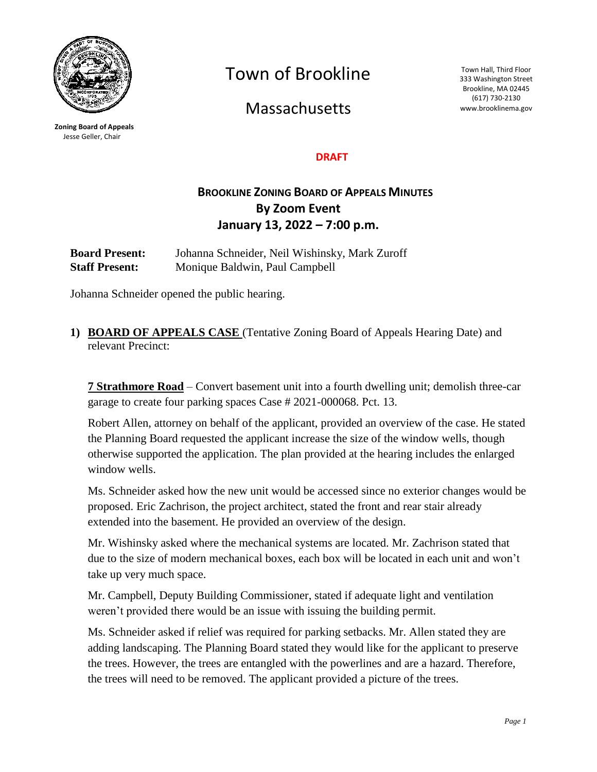

**Zoning Board of Appeals** Jesse Geller, Chair

Town of Brookline

**Massachusetts** 

Town Hall, Third Floor 333 Washington Street Brookline, MA 02445 (617) 730-2130 www.brooklinema.gov

#### **DRAFT**

# **BROOKLINE ZONING BOARD OF APPEALS MINUTES By Zoom Event January 13, 2022 – 7:00 p.m.**

**Board Present:** Johanna Schneider, Neil Wishinsky, Mark Zuroff **Staff Present:** Monique Baldwin, Paul Campbell

Johanna Schneider opened the public hearing.

**1) BOARD OF APPEALS CASE** (Tentative Zoning Board of Appeals Hearing Date) and relevant Precinct:

**7 Strathmore Road** – Convert basement unit into a fourth dwelling unit; demolish three-car garage to create four parking spaces Case # 2021-000068. Pct. 13.

Robert Allen, attorney on behalf of the applicant, provided an overview of the case. He stated the Planning Board requested the applicant increase the size of the window wells, though otherwise supported the application. The plan provided at the hearing includes the enlarged window wells.

Ms. Schneider asked how the new unit would be accessed since no exterior changes would be proposed. Eric Zachrison, the project architect, stated the front and rear stair already extended into the basement. He provided an overview of the design.

Mr. Wishinsky asked where the mechanical systems are located. Mr. Zachrison stated that due to the size of modern mechanical boxes, each box will be located in each unit and won't take up very much space.

Mr. Campbell, Deputy Building Commissioner, stated if adequate light and ventilation weren't provided there would be an issue with issuing the building permit.

Ms. Schneider asked if relief was required for parking setbacks. Mr. Allen stated they are adding landscaping. The Planning Board stated they would like for the applicant to preserve the trees. However, the trees are entangled with the powerlines and are a hazard. Therefore, the trees will need to be removed. The applicant provided a picture of the trees.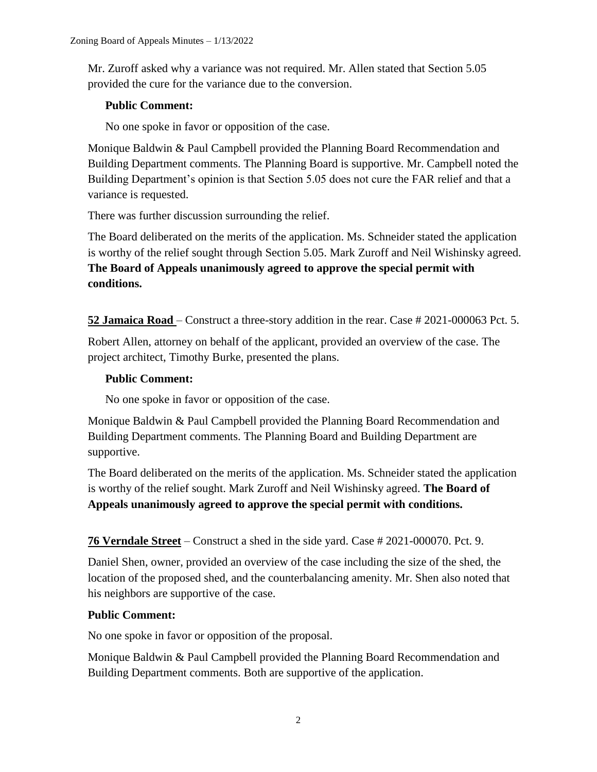Mr. Zuroff asked why a variance was not required. Mr. Allen stated that Section 5.05 provided the cure for the variance due to the conversion.

## **Public Comment:**

No one spoke in favor or opposition of the case.

Monique Baldwin & Paul Campbell provided the Planning Board Recommendation and Building Department comments. The Planning Board is supportive. Mr. Campbell noted the Building Department's opinion is that Section 5.05 does not cure the FAR relief and that a variance is requested.

There was further discussion surrounding the relief.

The Board deliberated on the merits of the application. Ms. Schneider stated the application is worthy of the relief sought through Section 5.05. Mark Zuroff and Neil Wishinsky agreed. **The Board of Appeals unanimously agreed to approve the special permit with conditions.**

**52 Jamaica Road** – Construct a three-story addition in the rear. Case # 2021-000063 Pct. 5.

Robert Allen, attorney on behalf of the applicant, provided an overview of the case. The project architect, Timothy Burke, presented the plans.

#### **Public Comment:**

No one spoke in favor or opposition of the case.

Monique Baldwin & Paul Campbell provided the Planning Board Recommendation and Building Department comments. The Planning Board and Building Department are supportive.

The Board deliberated on the merits of the application. Ms. Schneider stated the application is worthy of the relief sought. Mark Zuroff and Neil Wishinsky agreed. **The Board of Appeals unanimously agreed to approve the special permit with conditions.**

**76 Verndale Street** – Construct a shed in the side yard. Case # 2021-000070. Pct. 9.

Daniel Shen, owner, provided an overview of the case including the size of the shed, the location of the proposed shed, and the counterbalancing amenity. Mr. Shen also noted that his neighbors are supportive of the case.

# **Public Comment:**

No one spoke in favor or opposition of the proposal.

Monique Baldwin & Paul Campbell provided the Planning Board Recommendation and Building Department comments. Both are supportive of the application.